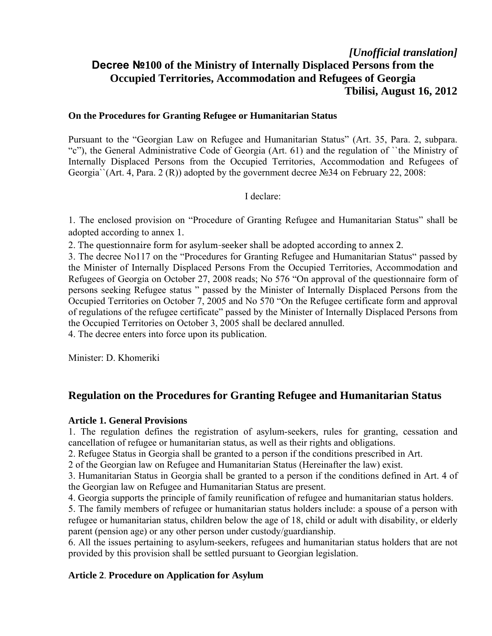# *[Unofficial translation]*  **Decree №100 of the Ministry of Internally Displaced Persons from the Occupied Territories, Accommodation and Refugees of Georgia Tbilisi, August 16, 2012**

#### **On the Procedures for Granting Refugee or Humanitarian Status**

Pursuant to the "Georgian Law on Refugee and Humanitarian Status" (Art. 35, Para. 2, subpara. "c"), the General Administrative Code of Georgia (Art. 61) and the regulation of ``the Ministry of Internally Displaced Persons from the Occupied Territories, Accommodation and Refugees of Georgia``(Art. 4, Para. 2 (R)) adopted by the government decree №34 on February 22, 2008:

### I declare:

1. The enclosed provision on "Procedure of Granting Refugee and Humanitarian Status" shall be adopted according to annex 1.

2. The questionnaire form for asylum-seeker shall be adopted according to annex 2.

3. The decree No117 on the "Procedures for Granting Refugee and Humanitarian Status" passed by the Minister of Internally Displaced Persons From the Occupied Territories, Accommodation and Refugees of Georgia on October 27, 2008 reads; No 576 "On approval of the questionnaire form of persons seeking Refugee status " passed by the Minister of Internally Displaced Persons from the Occupied Territories on October 7, 2005 and No 570 "On the Refugee certificate form and approval of regulations of the refugee certificate" passed by the Minister of Internally Displaced Persons from the Occupied Territories on October 3, 2005 shall be declared annulled.

4. The decree enters into force upon its publication.

Minister: D. Khomeriki

# **Regulation on the Procedures for Granting Refugee and Humanitarian Status**

### **Article 1. General Provisions**

1. The regulation defines the registration of asylum-seekers, rules for granting, cessation and cancellation of refugee or humanitarian status, as well as their rights and obligations.

2. Refugee Status in Georgia shall be granted to a person if the conditions prescribed in Art.

2 of the Georgian law on Refugee and Humanitarian Status (Hereinafter the law) exist.

3. Humanitarian Status in Georgia shall be granted to a person if the conditions defined in Art. 4 of the Georgian law on Refugee and Humanitarian Status are present.

4. Georgia supports the principle of family reunification of refugee and humanitarian status holders.

5. The family members of refugee or humanitarian status holders include: a spouse of a person with refugee or humanitarian status, children below the age of 18, child or adult with disability, or elderly parent (pension age) or any other person under custody/guardianship.

6. All the issues pertaining to asylum-seekers, refugees and humanitarian status holders that are not provided by this provision shall be settled pursuant to Georgian legislation.

### **Article 2**. **Procedure on Application for Asylum**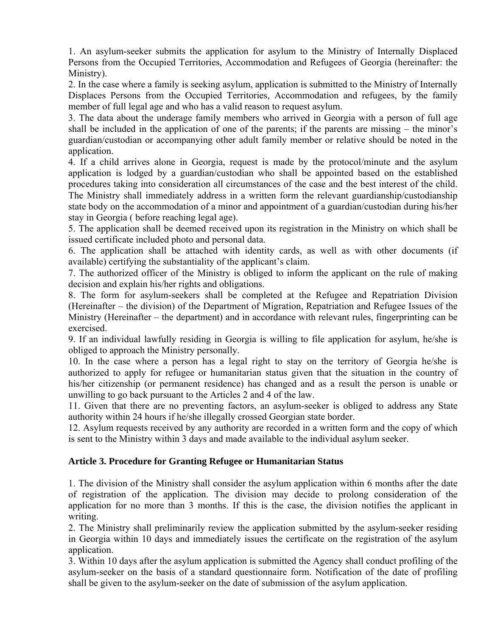1. An asylum-seeker submits the application for asylum to the Ministry of Internally Displaced Persons from the Occupied Territories, Accommodation and Refugees of Georgia (hereinafter: the Ministry).

2. In the case where a family is seeking asylum, application is submitted to the Ministry of Internally Displaces Persons from the Occupied Territories, Accommodation and refugees, by the family member of full legal age and who has a valid reason to request asylum.

3. The data about the underage family members who arrived in Georgia with a person of full age shall be included in the application of one of the parents; if the parents are missing – the minor's guardian/custodian or accompanying other adult family member or relative should be noted in the application.

4. If a child arrives alone in Georgia, request is made by the protocol/minute and the asylum application is lodged by a guardian/custodian who shall be appointed based on the established procedures taking into consideration all circumstances of the case and the best interest of the child. The Ministry shall immediately address in a written form the relevant guardianship/custodianship state body on the accommodation of a minor and appointment of a guardian/custodian during his/her stay in Georgia ( before reaching legal age).

5. The application shall be deemed received upon its registration in the Ministry on which shall be issued certificate included photo and personal data.

6. The application shall be attached with identity cards, as well as with other documents (if available) certifying the substantiality of the applicant's claim.

7. The authorized officer of the Ministry is obliged to inform the applicant on the rule of making decision and explain his/her rights and obligations.

8. The form for asylum-seekers shall be completed at the Refugee and Repatriation Division (Hereinafter – the division) of the Department of Migration, Repatriation and Refugee Issues of the Ministry (Hereinafter – the department) and in accordance with relevant rules, fingerprinting can be exercised.

9. If an individual lawfully residing in Georgia is willing to file application for asylum, he/she is obliged to approach the Ministry personally.

10. In the case where a person has a legal right to stay on the territory of Georgia he/she is authorized to apply for refugee or humanitarian status given that the situation in the country of his/her citizenship (or permanent residence) has changed and as a result the person is unable or unwilling to go back pursuant to the Articles 2 and 4 of the law.

11. Given that there are no preventing factors, an asylum-seeker is obliged to address any State authority within 24 hours if he/she illegally crossed Georgian state border.

12. Asylum requests received by any authority are recorded in a written form and the copy of which is sent to the Ministry within 3 days and made available to the individual asylum seeker.

# **Article 3. Procedure for Granting Refugee or Humanitarian Status**

1. The division of the Ministry shall consider the asylum application within 6 months after the date of registration of the application. The division may decide to prolong consideration of the application for no more than 3 months. If this is the case, the division notifies the applicant in writing.

2. The Ministry shall preliminarily review the application submitted by the asylum-seeker residing in Georgia within 10 days and immediately issues the certificate on the registration of the asylum application.

3. Within 10 days after the asylum application is submitted the Agency shall conduct profiling of the asylum-seeker on the basis of a standard questionnaire form. Notification of the date of profiling shall be given to the asylum-seeker on the date of submission of the asylum application.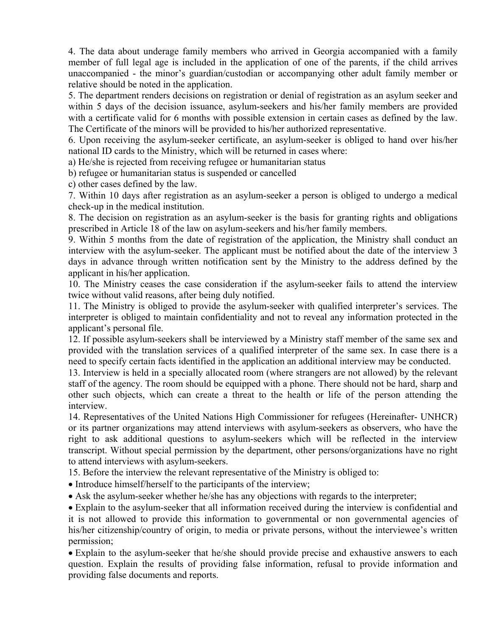4. The data about underage family members who arrived in Georgia accompanied with a family member of full legal age is included in the application of one of the parents, if the child arrives unaccompanied - the minor's guardian/custodian or accompanying other adult family member or relative should be noted in the application.

5. The department renders decisions on registration or denial of registration as an asylum seeker and within 5 days of the decision issuance, asylum-seekers and his/her family members are provided with a certificate valid for 6 months with possible extension in certain cases as defined by the law. The Certificate of the minors will be provided to his/her authorized representative.

6. Upon receiving the asylum-seeker certificate, an asylum-seeker is obliged to hand over his/her national ID cards to the Ministry, which will be returned in cases where:

a) He/she is rejected from receiving refugee or humanitarian status

b) refugee or humanitarian status is suspended or cancelled

c) other cases defined by the law.

7. Within 10 days after registration as an asylum-seeker a person is obliged to undergo a medical check-up in the medical institution.

8. The decision on registration as an asylum-seeker is the basis for granting rights and obligations prescribed in Article 18 of the law on asylum-seekers and his/her family members.

9. Within 5 months from the date of registration of the application, the Ministry shall conduct an interview with the asylum-seeker. The applicant must be notified about the date of the interview 3 days in advance through written notification sent by the Ministry to the address defined by the applicant in his/her application.

10. The Ministry ceases the case consideration if the asylum-seeker fails to attend the interview twice without valid reasons, after being duly notified.

11. The Ministry is obliged to provide the asylum-seeker with qualified interpreter's services. The interpreter is obliged to maintain confidentiality and not to reveal any information protected in the applicant's personal file.

12. If possible asylum-seekers shall be interviewed by a Ministry staff member of the same sex and provided with the translation services of a qualified interpreter of the same sex. In case there is a need to specify certain facts identified in the application an additional interview may be conducted.

13. Interview is held in a specially allocated room (where strangers are not allowed) by the relevant staff of the agency. The room should be equipped with a phone. There should not be hard, sharp and other such objects, which can create a threat to the health or life of the person attending the interview.

14. Representatives of the United Nations High Commissioner for refugees (Hereinafter- UNHCR) or its partner organizations may attend interviews with asylum-seekers as observers, who have the right to ask additional questions to asylum-seekers which will be reflected in the interview transcript. Without special permission by the department, other persons/organizations have no right to attend interviews with asylum-seekers.

15. Before the interview the relevant representative of the Ministry is obliged to:

• Introduce himself/herself to the participants of the interview;

Ask the asylum-seeker whether he/she has any objections with regards to the interpreter;

Explain to the asylum-seeker that all information received during the interview is confidential and it is not allowed to provide this information to governmental or non governmental agencies of his/her citizenship/country of origin, to media or private persons, without the interviewee's written permission;

Explain to the asylum-seeker that he/she should provide precise and exhaustive answers to each question. Explain the results of providing false information, refusal to provide information and providing false documents and reports.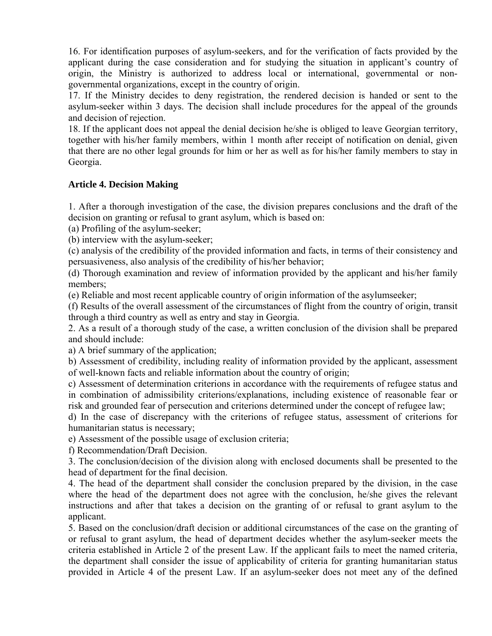16. For identification purposes of asylum-seekers, and for the verification of facts provided by the applicant during the case consideration and for studying the situation in applicant's country of origin, the Ministry is authorized to address local or international, governmental or nongovernmental organizations, except in the country of origin.

17. If the Ministry decides to deny registration, the rendered decision is handed or sent to the asylum-seeker within 3 days. The decision shall include procedures for the appeal of the grounds and decision of rejection.

18. If the applicant does not appeal the denial decision he/she is obliged to leave Georgian territory, together with his/her family members, within 1 month after receipt of notification on denial, given that there are no other legal grounds for him or her as well as for his/her family members to stay in Georgia.

# **Article 4. Decision Making**

1. After a thorough investigation of the case, the division prepares conclusions and the draft of the decision on granting or refusal to grant asylum, which is based on:

(a) Profiling of the asylum-seeker;

(b) interview with the asylum-seeker;

(c) analysis of the credibility of the provided information and facts, in terms of their consistency and persuasiveness, also analysis of the credibility of his/her behavior;

(d) Thorough examination and review of information provided by the applicant and his/her family members;

(e) Reliable and most recent applicable country of origin information of the asylumseeker;

(f) Results of the overall assessment of the circumstances of flight from the country of origin, transit through a third country as well as entry and stay in Georgia.

2. As a result of a thorough study of the case, a written conclusion of the division shall be prepared and should include:

a) A brief summary of the application;

b) Assessment of credibility, including reality of information provided by the applicant, assessment of well-known facts and reliable information about the country of origin;

c) Assessment of determination criterions in accordance with the requirements of refugee status and in combination of admissibility criterions/explanations, including existence of reasonable fear or risk and grounded fear of persecution and criterions determined under the concept of refugee law;

d) In the case of discrepancy with the criterions of refugee status, assessment of criterions for humanitarian status is necessary;

e) Assessment of the possible usage of exclusion criteria;

f) Recommendation/Draft Decision.

3. The conclusion/decision of the division along with enclosed documents shall be presented to the head of department for the final decision.

4. The head of the department shall consider the conclusion prepared by the division, in the case where the head of the department does not agree with the conclusion, he/she gives the relevant instructions and after that takes a decision on the granting of or refusal to grant asylum to the applicant.

5. Based on the conclusion/draft decision or additional circumstances of the case on the granting of or refusal to grant asylum, the head of department decides whether the asylum-seeker meets the criteria established in Article 2 of the present Law. If the applicant fails to meet the named criteria, the department shall consider the issue of applicability of criteria for granting humanitarian status provided in Article 4 of the present Law. If an asylum-seeker does not meet any of the defined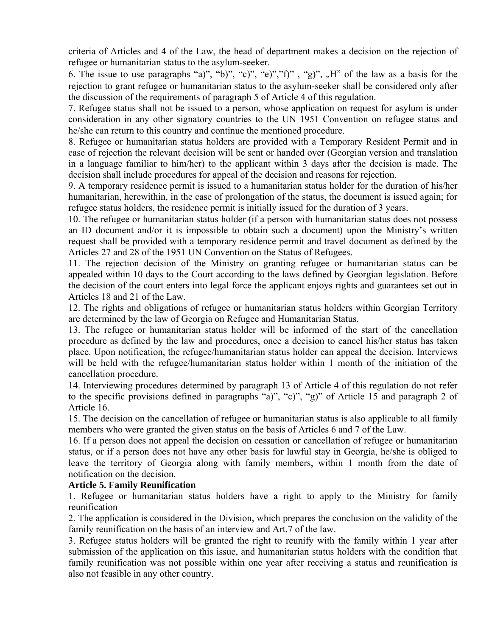criteria of Articles and 4 of the Law, the head of department makes a decision on the rejection of refugee or humanitarian status to the asylum-seeker.

6. The issue to use paragraphs "a)", "b)", "c)", "e)","f)" , "g)", "H" of the law as a basis for the rejection to grant refugee or humanitarian status to the asylum-seeker shall be considered only after the discussion of the requirements of paragraph 5 of Article 4 of this regulation.

7. Refugee status shall not be issued to a person, whose application on request for asylum is under consideration in any other signatory countries to the UN 1951 Convention on refugee status and he/she can return to this country and continue the mentioned procedure.

8. Refugee or humanitarian status holders are provided with a Temporary Resident Permit and in case of rejection the relevant decision will be sent or handed over (Georgian version and translation in a language familiar to him/her) to the applicant within 3 days after the decision is made. The decision shall include procedures for appeal of the decision and reasons for rejection.

9. A temporary residence permit is issued to a humanitarian status holder for the duration of his/her humanitarian, herewithin, in the case of prolongation of the status, the document is issued again; for refugee status holders, the residence permit is initially issued for the duration of 3 years.

10. The refugee or humanitarian status holder (if a person with humanitarian status does not possess an ID document and/or it is impossible to obtain such a document) upon the Ministry's written request shall be provided with a temporary residence permit and travel document as defined by the Articles 27 and 28 of the 1951 UN Convention on the Status of Refugees.

11. The rejection decision of the Ministry on granting refugee or humanitarian status can be appealed within 10 days to the Court according to the laws defined by Georgian legislation. Before the decision of the court enters into legal force the applicant enjoys rights and guarantees set out in Articles 18 and 21 of the Law.

12. The rights and obligations of refugee or humanitarian status holders within Georgian Territory are determined by the law of Georgia on Refugee and Humanitarian Status.

13. The refugee or humanitarian status holder will be informed of the start of the cancellation procedure as defined by the law and procedures, once a decision to cancel his/her status has taken place. Upon notification, the refugee/humanitarian status holder can appeal the decision. Interviews will be held with the refugee/humanitarian status holder within 1 month of the initiation of the cancellation procedure.

14. Interviewing procedures determined by paragraph 13 of Article 4 of this regulation do not refer to the specific provisions defined in paragraphs "a)", "c)", "g)" of Article 15 and paragraph 2 of Article 16.

15. The decision on the cancellation of refugee or humanitarian status is also applicable to all family members who were granted the given status on the basis of Articles 6 and 7 of the Law.

16. If a person does not appeal the decision on cessation or cancellation of refugee or humanitarian status, or if a person does not have any other basis for lawful stay in Georgia, he/she is obliged to leave the territory of Georgia along with family members, within 1 month from the date of notification on the decision.

### **Article 5. Family Reunification**

1. Refugee or humanitarian status holders have a right to apply to the Ministry for family reunification

2. The application is considered in the Division, which prepares the conclusion on the validity of the family reunification on the basis of an interview and Art.7 of the law.

3. Refugee status holders will be granted the right to reunify with the family within 1 year after submission of the application on this issue, and humanitarian status holders with the condition that family reunification was not possible within one year after receiving a status and reunification is also not feasible in any other country.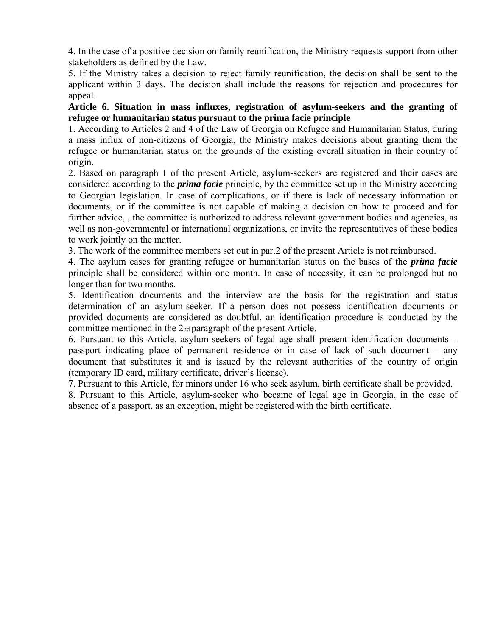4. In the case of a positive decision on family reunification, the Ministry requests support from other stakeholders as defined by the Law.

5. If the Ministry takes a decision to reject family reunification, the decision shall be sent to the applicant within 3 days. The decision shall include the reasons for rejection and procedures for appeal.

# **Article 6. Situation in mass influxes, registration of asylum-seekers and the granting of refugee or humanitarian status pursuant to the prima facie principle**

1. According to Articles 2 and 4 of the Law of Georgia on Refugee and Humanitarian Status, during a mass influx of non-citizens of Georgia, the Ministry makes decisions about granting them the refugee or humanitarian status on the grounds of the existing overall situation in their country of origin.

2. Based on paragraph 1 of the present Article, asylum-seekers are registered and their cases are considered according to the *prima facie* principle, by the committee set up in the Ministry according to Georgian legislation. In case of complications, or if there is lack of necessary information or documents, or if the committee is not capable of making a decision on how to proceed and for further advice,, the committee is authorized to address relevant government bodies and agencies, as well as non-governmental or international organizations, or invite the representatives of these bodies to work jointly on the matter.

3. The work of the committee members set out in par.2 of the present Article is not reimbursed.

4. The asylum cases for granting refugee or humanitarian status on the bases of the *prima facie*  principle shall be considered within one month. In case of necessity, it can be prolonged but no longer than for two months.

5. Identification documents and the interview are the basis for the registration and status determination of an asylum-seeker. If a person does not possess identification documents or provided documents are considered as doubtful, an identification procedure is conducted by the committee mentioned in the 2nd paragraph of the present Article.

6. Pursuant to this Article, asylum-seekers of legal age shall present identification documents – passport indicating place of permanent residence or in case of lack of such document – any document that substitutes it and is issued by the relevant authorities of the country of origin (temporary ID card, military certificate, driver's license).

7. Pursuant to this Article, for minors under 16 who seek asylum, birth certificate shall be provided.

8. Pursuant to this Article, asylum-seeker who became of legal age in Georgia, in the case of absence of a passport, as an exception, might be registered with the birth certificate.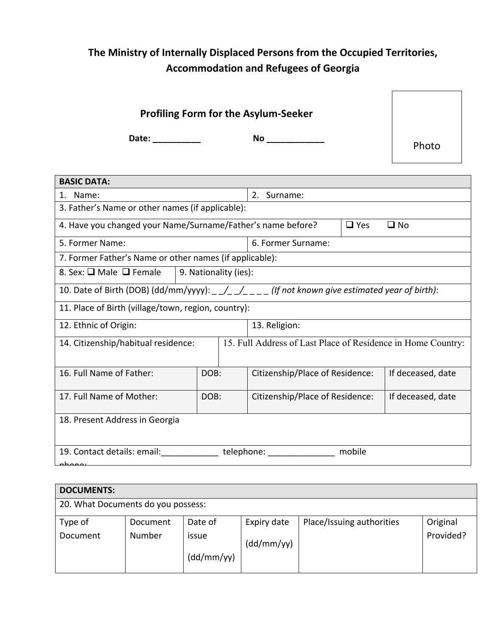# **The Ministry of Internally Displaced Persons from the Occupied Territories, Accommodation and Refugees of Georgia**

|       | <b>Profiling Form for the Asylum-Seeker</b> |       |
|-------|---------------------------------------------|-------|
| Date: | No                                          | Photo |

┑

| <b>BASIC DATA:</b>                                                                               |                                                      |                                                              |            |                   |  |  |  |  |  |
|--------------------------------------------------------------------------------------------------|------------------------------------------------------|--------------------------------------------------------------|------------|-------------------|--|--|--|--|--|
| Name:<br>2.<br>Surname:<br>$1_{-}$                                                               |                                                      |                                                              |            |                   |  |  |  |  |  |
| 3. Father's Name or other names (if applicable):                                                 |                                                      |                                                              |            |                   |  |  |  |  |  |
| 4. Have you changed your Name/Surname/Father's name before?                                      |                                                      |                                                              | $\Box$ Yes | $\square$ No      |  |  |  |  |  |
| 5. Former Name:                                                                                  |                                                      | 6. Former Surname:                                           |            |                   |  |  |  |  |  |
| 7. Former Father's Name or other names (if applicable):                                          |                                                      |                                                              |            |                   |  |  |  |  |  |
| 8. Sex: □ Male □ Female                                                                          | 9. Nationality (ies):                                |                                                              |            |                   |  |  |  |  |  |
| 10. Date of Birth (DOB) (dd/mm/yyyy): _ _/_ _/_ _ _ (If not known give estimated year of birth): |                                                      |                                                              |            |                   |  |  |  |  |  |
| 11. Place of Birth (village/town, region, country):                                              |                                                      |                                                              |            |                   |  |  |  |  |  |
| 12. Ethnic of Origin:                                                                            |                                                      | 13. Religion:                                                |            |                   |  |  |  |  |  |
| 14. Citizenship/habitual residence:                                                              |                                                      | 15. Full Address of Last Place of Residence in Home Country: |            |                   |  |  |  |  |  |
| 16. Full Name of Father:                                                                         | DOB:                                                 | Citizenship/Place of Residence:                              |            | If deceased, date |  |  |  |  |  |
| 17. Full Name of Mother:                                                                         | Citizenship/Place of Residence:<br>If deceased, date |                                                              |            |                   |  |  |  |  |  |
| 18. Present Address in Georgia                                                                   |                                                      |                                                              |            |                   |  |  |  |  |  |
| 19. Contact details: email:                                                                      | mobile<br>telephone:                                 |                                                              |            |                   |  |  |  |  |  |

| <b>DOCUMENTS:</b>                  |          |            |             |                           |           |  |  |  |  |
|------------------------------------|----------|------------|-------------|---------------------------|-----------|--|--|--|--|
| 20. What Documents do you possess: |          |            |             |                           |           |  |  |  |  |
| Type of                            | Document | Date of    | Expiry date | Place/Issuing authorities | Original  |  |  |  |  |
| Document                           | Number   | issue      | (dd/mm/yy)  |                           | Provided? |  |  |  |  |
|                                    |          | (dd/mm/yy) |             |                           |           |  |  |  |  |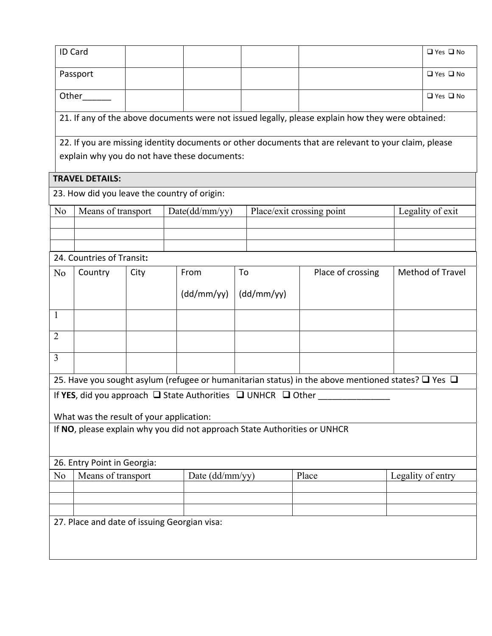|                | <b>ID Card</b>                               |      |                                              |                 |                                                                             |                                                                                                              |                   | □ Yes □ No           |
|----------------|----------------------------------------------|------|----------------------------------------------|-----------------|-----------------------------------------------------------------------------|--------------------------------------------------------------------------------------------------------------|-------------------|----------------------|
|                | Passport                                     |      |                                              |                 |                                                                             |                                                                                                              |                   | $\Box$ Yes $\Box$ No |
|                |                                              |      |                                              |                 |                                                                             |                                                                                                              |                   |                      |
|                | Other                                        |      |                                              |                 |                                                                             |                                                                                                              |                   | $\Box$ Yes $\Box$ No |
|                |                                              |      |                                              |                 |                                                                             | 21. If any of the above documents were not issued legally, please explain how they were obtained:            |                   |                      |
|                |                                              |      |                                              |                 |                                                                             | 22. If you are missing identity documents or other documents that are relevant to your claim, please         |                   |                      |
|                |                                              |      | explain why you do not have these documents: |                 |                                                                             |                                                                                                              |                   |                      |
|                |                                              |      |                                              |                 |                                                                             |                                                                                                              |                   |                      |
|                | <b>TRAVEL DETAILS:</b>                       |      |                                              |                 |                                                                             |                                                                                                              |                   |                      |
|                |                                              |      | 23. How did you leave the country of origin: |                 |                                                                             |                                                                                                              |                   |                      |
| N <sub>0</sub> | Means of transport                           |      | Date(dd/mm/yy)                               |                 |                                                                             | Place/exit crossing point                                                                                    |                   | Legality of exit     |
|                |                                              |      |                                              |                 |                                                                             |                                                                                                              |                   |                      |
|                |                                              |      |                                              |                 |                                                                             |                                                                                                              |                   |                      |
|                | 24. Countries of Transit:                    |      |                                              |                 |                                                                             |                                                                                                              |                   |                      |
| No             | Country                                      | City | From                                         |                 | To                                                                          | Place of crossing                                                                                            | Method of Travel  |                      |
|                |                                              |      | (dd/mm/yy)                                   |                 | (dd/mm/yy)                                                                  |                                                                                                              |                   |                      |
| 1              |                                              |      |                                              |                 |                                                                             |                                                                                                              |                   |                      |
| $\overline{2}$ |                                              |      |                                              |                 |                                                                             |                                                                                                              |                   |                      |
|                |                                              |      |                                              |                 |                                                                             |                                                                                                              |                   |                      |
| $\overline{3}$ |                                              |      |                                              |                 |                                                                             |                                                                                                              |                   |                      |
|                |                                              |      |                                              |                 |                                                                             | 25. Have you sought asylum (refugee or humanitarian status) in the above mentioned states? $\Box$ Yes $\Box$ |                   |                      |
|                |                                              |      |                                              |                 | If YES, did you approach $\Box$ State Authorities $\Box$ UNHCR $\Box$ Other |                                                                                                              |                   |                      |
|                |                                              |      | What was the result of your application:     |                 |                                                                             |                                                                                                              |                   |                      |
|                |                                              |      |                                              |                 | If NO, please explain why you did not approach State Authorities or UNHCR   |                                                                                                              |                   |                      |
|                |                                              |      |                                              |                 |                                                                             |                                                                                                              |                   |                      |
|                | 26. Entry Point in Georgia:                  |      |                                              |                 |                                                                             |                                                                                                              |                   |                      |
| N <sub>0</sub> | Means of transport                           |      |                                              | Date (dd/mm/yy) |                                                                             | Place                                                                                                        | Legality of entry |                      |
|                |                                              |      |                                              |                 |                                                                             |                                                                                                              |                   |                      |
|                |                                              |      |                                              |                 |                                                                             |                                                                                                              |                   |                      |
|                |                                              |      |                                              |                 |                                                                             |                                                                                                              |                   |                      |
|                | 27. Place and date of issuing Georgian visa: |      |                                              |                 |                                                                             |                                                                                                              |                   |                      |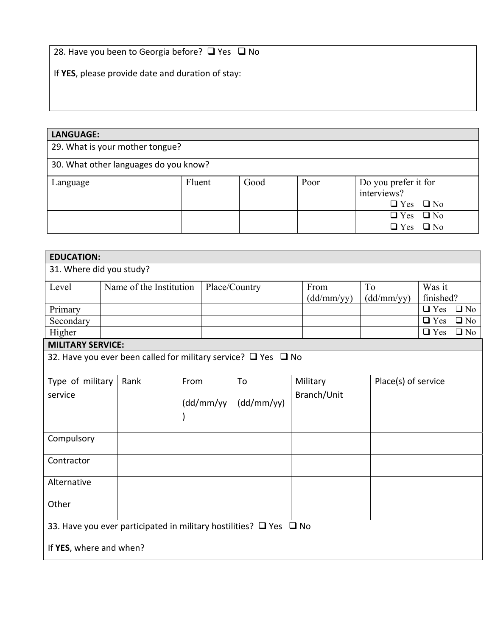28. Have you been to Georgia before?  $\Box$  Yes  $\Box$  No

If **YES**, please provide date and duration of stay:

# **LANGUAGE:**  29. What is your mother tongue? 30. What other languages do you know? Language Fluent Good Poor Do you prefer it for interviews?  $\overline{Q}$  Yes  $\overline{Q}$  No  $\overline{Q}$  Yes  $\overline{Q}$  No  $\overline{Q \text{ Yes}}$   $\overline{Q \text{ No}}$

| <b>EDUCATION:</b>                                                                                       |  |                                                                          |                |  |               |  |                    |                  |                     |           |
|---------------------------------------------------------------------------------------------------------|--|--------------------------------------------------------------------------|----------------|--|---------------|--|--------------------|------------------|---------------------|-----------|
| 31. Where did you study?                                                                                |  |                                                                          |                |  |               |  |                    |                  |                     |           |
| Level                                                                                                   |  | Name of the Institution                                                  |                |  | Place/Country |  | From<br>(dd/mm/yy) | To<br>(dd/mm/yy) | Was it<br>finished? |           |
| Primary                                                                                                 |  |                                                                          |                |  |               |  |                    |                  | $\Box$ Yes          | $\Box$ No |
| Secondary                                                                                               |  |                                                                          |                |  |               |  |                    |                  | $\Box$ Yes          | $\Box$ No |
| Higher                                                                                                  |  |                                                                          |                |  |               |  |                    |                  | $\Box$ Yes          | $\Box$ No |
| <b>MILITARY SERVICE:</b>                                                                                |  |                                                                          |                |  |               |  |                    |                  |                     |           |
|                                                                                                         |  | 32. Have you ever been called for military service? $\Box$ Yes $\Box$ No |                |  |               |  |                    |                  |                     |           |
| Type of military                                                                                        |  | Rank                                                                     | From           |  | To            |  | Military           |                  | Place(s) of service |           |
| service                                                                                                 |  |                                                                          | (dd/mm/yy<br>J |  | (dd/mm/yy)    |  | Branch/Unit        |                  |                     |           |
| Compulsory                                                                                              |  |                                                                          |                |  |               |  |                    |                  |                     |           |
| Contractor                                                                                              |  |                                                                          |                |  |               |  |                    |                  |                     |           |
| Alternative                                                                                             |  |                                                                          |                |  |               |  |                    |                  |                     |           |
| Other                                                                                                   |  |                                                                          |                |  |               |  |                    |                  |                     |           |
| 33. Have you ever participated in military hostilities? $\Box$ Yes $\Box$ No<br>If YES, where and when? |  |                                                                          |                |  |               |  |                    |                  |                     |           |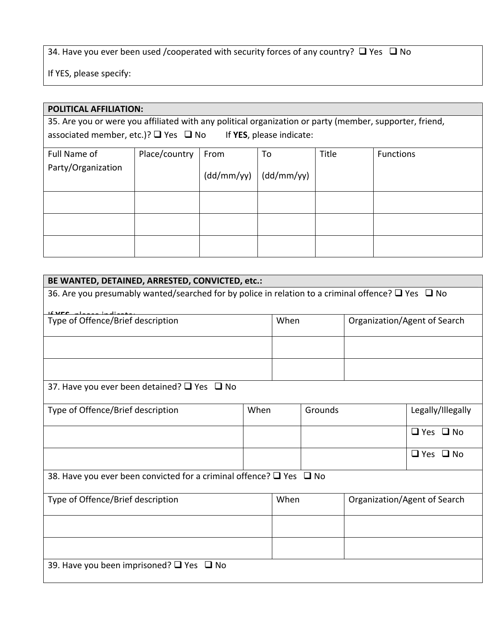34. Have you ever been used /cooperated with security forces of any country?  $\Box$  Yes  $\Box$  No

If YES, please specify:

# **POLITICAL AFFILIATION:**  35. Are you or were you affiliated with any political organization or party (member, supporter, friend, associated member, etc.)? □ Yes □ No If YES, please indicate: Full Name of Party/Organization Place/country From (dd/mm/yy) To (dd/mm/yy) Title | Functions

| BE WANTED, DETAINED, ARRESTED, CONVICTED, etc.:                                                              |      |      |         |  |                              |  |  |  |  |  |
|--------------------------------------------------------------------------------------------------------------|------|------|---------|--|------------------------------|--|--|--|--|--|
| 36. Are you presumably wanted/searched for by police in relation to a criminal offence? $\Box$ Yes $\Box$ No |      |      |         |  |                              |  |  |  |  |  |
| <b>If VEC</b> plance indicate.<br>Type of Offence/Brief description<br>When<br>Organization/Agent of Search  |      |      |         |  |                              |  |  |  |  |  |
|                                                                                                              |      |      |         |  |                              |  |  |  |  |  |
|                                                                                                              |      |      |         |  |                              |  |  |  |  |  |
|                                                                                                              |      |      |         |  |                              |  |  |  |  |  |
|                                                                                                              |      |      |         |  |                              |  |  |  |  |  |
| 37. Have you ever been detained? $\Box$ Yes $\Box$ No                                                        |      |      |         |  |                              |  |  |  |  |  |
|                                                                                                              |      |      |         |  |                              |  |  |  |  |  |
| Type of Offence/Brief description                                                                            | When |      | Grounds |  | Legally/Illegally            |  |  |  |  |  |
|                                                                                                              |      |      |         |  | $\Box$ Yes $\Box$ No         |  |  |  |  |  |
|                                                                                                              |      |      |         |  | $\Box$ Yes $\Box$ No         |  |  |  |  |  |
| 38. Have you ever been convicted for a criminal offence? $\square$ Yes $\square$ No                          |      |      |         |  |                              |  |  |  |  |  |
| Type of Offence/Brief description                                                                            |      | When |         |  | Organization/Agent of Search |  |  |  |  |  |
|                                                                                                              |      |      |         |  |                              |  |  |  |  |  |
|                                                                                                              |      |      |         |  |                              |  |  |  |  |  |
| 39. Have you been imprisoned? □ Yes □ No                                                                     |      |      |         |  |                              |  |  |  |  |  |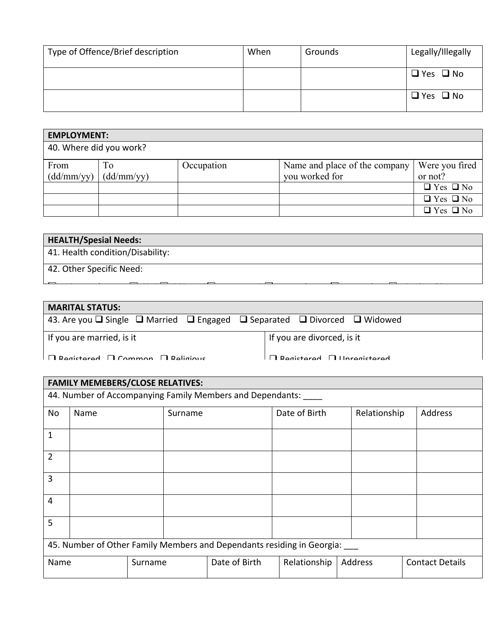| Type of Offence/Brief description | When | Grounds | Legally/Illegally    |
|-----------------------------------|------|---------|----------------------|
|                                   |      |         | $\Box$ Yes $\Box$ No |
|                                   |      |         | $\Box$ Yes $\Box$ No |

| <b>EMPLOYMENT:</b>      |                  |            |                                                 |                           |  |  |  |  |  |
|-------------------------|------------------|------------|-------------------------------------------------|---------------------------|--|--|--|--|--|
| 40. Where did you work? |                  |            |                                                 |                           |  |  |  |  |  |
| From<br>(dd/mm/yy)      | To<br>(dd/mm/yy) | Occupation | Name and place of the company<br>you worked for | Were you fired<br>or not? |  |  |  |  |  |
|                         |                  |            |                                                 | $\Box$ Yes $\Box$ No      |  |  |  |  |  |
|                         |                  |            |                                                 | $\Box$ Yes $\Box$ No      |  |  |  |  |  |
|                         |                  |            |                                                 | $\Box$ Yes $\Box$ No      |  |  |  |  |  |

| 41. Health condition/Disability: |  |  |  |
|----------------------------------|--|--|--|
| 42. Other Specific Need:         |  |  |  |

l <u>la h la h la h la h la h la h ( f)</u> h la h la h ( f) h ( f) h ( f) h ( f) h ( f) h ( f) h ( f) h ( f) h ( f) h ( f) h ( f) h ( f) h ( f) h ( f) h ( f) h ( f) h ( f) h ( f) h ( f) h ( f) h ( f) h ( f) h ( f) h ( f) h ( f

| <b>MARITAL STATUS:</b>                                                                                  |                                       |
|---------------------------------------------------------------------------------------------------------|---------------------------------------|
| 43. Are you $\Box$ Single $\Box$ Married $\Box$ Engaged $\Box$ Separated $\Box$ Divorced $\Box$ Widowed |                                       |
| If you are married, is it                                                                               | If you are divorced, is it            |
| $\Box$ Registered $\Box$ Common $\Box$ Religious                                                        | $\Box$ Posittorod $\Box$ Unrogistorod |

| <b>FAMILY MEMEBERS/CLOSE RELATIVES:</b>                                |                 |  |         |               |               |              |                        |  |  |  |
|------------------------------------------------------------------------|-----------------|--|---------|---------------|---------------|--------------|------------------------|--|--|--|
| 44. Number of Accompanying Family Members and Dependants:              |                 |  |         |               |               |              |                        |  |  |  |
| No                                                                     | Name            |  | Surname |               | Date of Birth | Relationship | Address                |  |  |  |
| 1                                                                      |                 |  |         |               |               |              |                        |  |  |  |
| $\overline{2}$                                                         |                 |  |         |               |               |              |                        |  |  |  |
| 3                                                                      |                 |  |         |               |               |              |                        |  |  |  |
| 4                                                                      |                 |  |         |               |               |              |                        |  |  |  |
| 5                                                                      |                 |  |         |               |               |              |                        |  |  |  |
| 45. Number of Other Family Members and Dependants residing in Georgia: |                 |  |         |               |               |              |                        |  |  |  |
|                                                                        | Name<br>Surname |  |         | Date of Birth | Relationship  | Address      | <b>Contact Details</b> |  |  |  |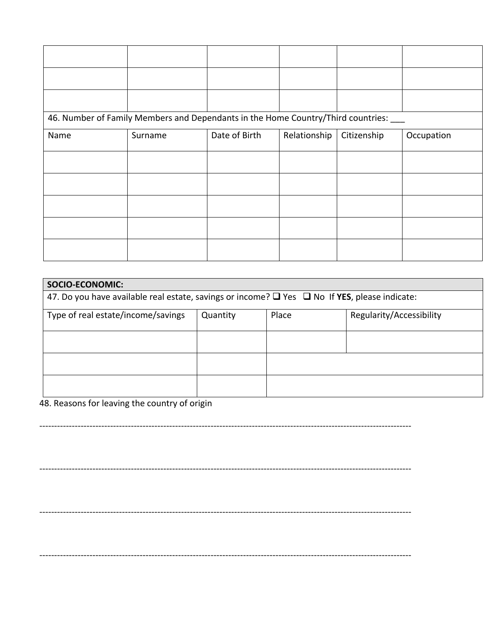| 46. Number of Family Members and Dependants in the Home Country/Third countries: ___ |         |               |              |             |            |
|--------------------------------------------------------------------------------------|---------|---------------|--------------|-------------|------------|
| Name                                                                                 | Surname | Date of Birth | Relationship | Citizenship | Occupation |
|                                                                                      |         |               |              |             |            |
|                                                                                      |         |               |              |             |            |
|                                                                                      |         |               |              |             |            |
|                                                                                      |         |               |              |             |            |
|                                                                                      |         |               |              |             |            |

| <b>SOCIO-ECONOMIC:</b>                                                                                        |          |       |                          |  |  |
|---------------------------------------------------------------------------------------------------------------|----------|-------|--------------------------|--|--|
| 47. Do you have available real estate, savings or income? $\square$ Yes $\square$ No If YES, please indicate: |          |       |                          |  |  |
| Type of real estate/income/savings                                                                            | Quantity | Place | Regularity/Accessibility |  |  |
|                                                                                                               |          |       |                          |  |  |
|                                                                                                               |          |       |                          |  |  |
|                                                                                                               |          |       |                          |  |  |

48. Reasons for leaving the country of origin

------------------------------------------------------------------------------------------------------------------------------

------------------------------------------------------------------------------------------------------------------------------

------------------------------------------------------------------------------------------------------------------------------

------------------------------------------------------------------------------------------------------------------------------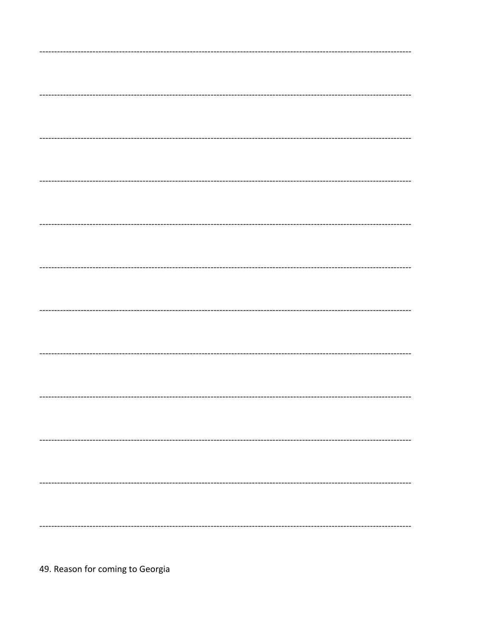49. Reason for coming to Georgia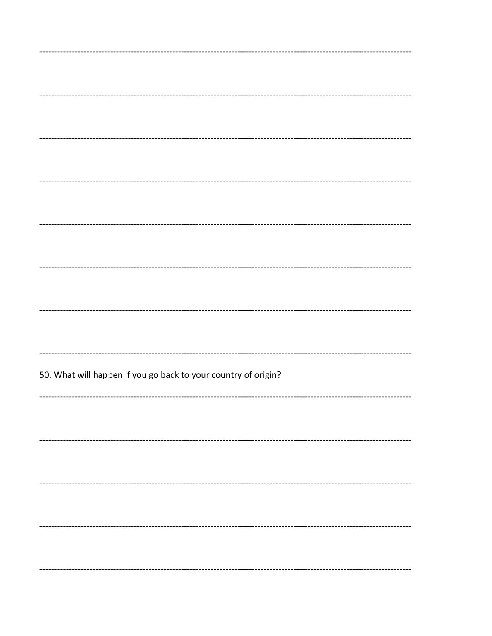50. What will happen if you go back to your country of origin?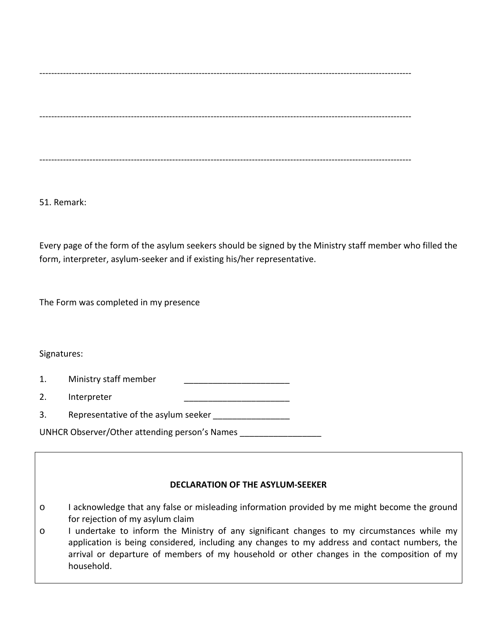------------------------------------------------------------------------------------------------------------------------------

------------------------------------------------------------------------------------------------------------------------------

------------------------------------------------------------------------------------------------------------------------------

51. Remark:

Every page of the form of the asylum seekers should be signed by the Ministry staff member who filled the form, interpreter, asylum-seeker and if existing his/her representative.

The Form was completed in my presence

Signatures:

1. Ministry staff member

- 2. Interpreter
- 3. Representative of the asylum seeker \_\_\_\_\_\_\_\_\_\_\_

UNHCR Observer/Other attending person's Names \_\_\_\_\_\_\_\_\_\_\_\_\_\_\_\_\_

### **DECLARATION OF THE ASYLUM-SEEKER**

- o I acknowledge that any false or misleading information provided by me might become the ground for rejection of my asylum claim
- o I undertake to inform the Ministry of any significant changes to my circumstances while my application is being considered, including any changes to my address and contact numbers, the arrival or departure of members of my household or other changes in the composition of my household.